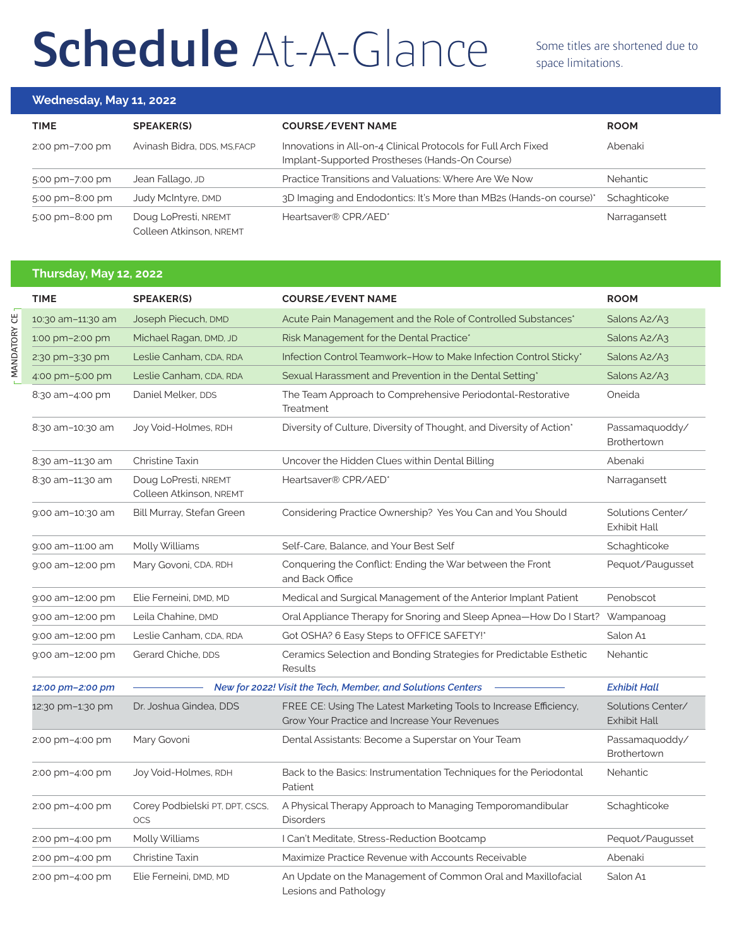## Schedule At-A-Glance Some titles are shortened due to

space limitations.

## **Wednesday, May 11, 2022**

| <b>TIME</b>     | <b>SPEAKER(S)</b>                               | <b>COURSE/EVENT NAME</b>                                                                                         | <b>ROOM</b>     |
|-----------------|-------------------------------------------------|------------------------------------------------------------------------------------------------------------------|-----------------|
| 2:00 pm-7:00 pm | Avinash Bidra, DDS, MS, FACP                    | Innovations in All-on-4 Clinical Protocols for Full Arch Fixed<br>Implant-Supported Prostheses (Hands-On Course) | Abenaki         |
| 5:00 pm-7:00 pm | Jean Fallago, JD                                | Practice Transitions and Valuations: Where Are We Now                                                            | <b>Nehantic</b> |
| 5:00 pm-8:00 pm | Judy McIntyre, DMD                              | 3D Imaging and Endodontics: It's More than MB2s (Hands-on course)*                                               | Schaghticoke    |
| 5:00 pm-8:00 pm | Doug LoPresti, NREMT<br>Colleen Atkinson, NREMT | Heartsaver® CPR/AED*                                                                                             | Narragansett    |

## **Thursday, May 12, 2022**

| <b>TIME</b>       | <b>SPEAKER(S)</b>                                           | <b>COURSE/EVENT NAME</b>                                                                                           | <b>ROOM</b>                              |
|-------------------|-------------------------------------------------------------|--------------------------------------------------------------------------------------------------------------------|------------------------------------------|
| 10:30 am-11:30 am | Joseph Piecuch, DMD                                         | Acute Pain Management and the Role of Controlled Substances*                                                       | Salons A2/A3                             |
| 1:00 pm-2:00 pm   | Michael Ragan, DMD, JD                                      | Risk Management for the Dental Practice*                                                                           | Salons A2/A3                             |
| 2:30 pm-3:30 pm   | Leslie Canham, CDA, RDA                                     | Infection Control Teamwork-How to Make Infection Control Sticky*                                                   | Salons A2/A3                             |
| 4:00 pm-5:00 pm   | Leslie Canham, CDA, RDA                                     | Sexual Harassment and Prevention in the Dental Setting*                                                            | Salons A2/A3                             |
| 8:30 am-4:00 pm   | Daniel Melker, DDS                                          | The Team Approach to Comprehensive Periodontal-Restorative<br>Treatment                                            | Oneida                                   |
| 8:30 am-10:30 am  | Joy Void-Holmes, RDH                                        | Diversity of Culture, Diversity of Thought, and Diversity of Action*                                               | Passamaquoddy/<br>Brothertown            |
| 8:30 am-11:30 am  | Christine Taxin                                             | Uncover the Hidden Clues within Dental Billing                                                                     | Abenaki                                  |
| 8:30 am-11:30 am  | Doug LoPresti, NREMT<br>Colleen Atkinson, NREMT             | Heartsaver® CPR/AED*                                                                                               | Narragansett                             |
| 9:00 am-10:30 am  | Bill Murray, Stefan Green                                   | Considering Practice Ownership? Yes You Can and You Should                                                         | Solutions Center/<br>Exhibit Hall        |
| 9:00 am-11:00 am  | Molly Williams                                              | Self-Care, Balance, and Your Best Self                                                                             | Schaghticoke                             |
| 9:00 am-12:00 pm  | Mary Govoni, CDA, RDH                                       | Conquering the Conflict: Ending the War between the Front<br>and Back Office                                       | Pequot/Paugusset                         |
| 9:00 am-12:00 pm  | Elie Ferneini, DMD, MD                                      | Medical and Surgical Management of the Anterior Implant Patient                                                    | Penobscot                                |
| 9:00 am-12:00 pm  | Leila Chahine, DMD                                          | Oral Appliance Therapy for Snoring and Sleep Apnea-How Do I Start?                                                 | Wampanoag                                |
| 9:00 am-12:00 pm  | Leslie Canham, CDA, RDA                                     | Got OSHA? 6 Easy Steps to OFFICE SAFETY!*                                                                          | Salon A1                                 |
| 9:00 am-12:00 pm  | Gerard Chiche, DDS                                          | Ceramics Selection and Bonding Strategies for Predictable Esthetic<br>Results                                      | Nehantic                                 |
| 12:00 pm-2:00 pm  | New for 2022! Visit the Tech, Member, and Solutions Centers |                                                                                                                    | <b>Exhibit Hall</b>                      |
| 12:30 pm-1:30 pm  | Dr. Joshua Gindea, DDS                                      | FREE CE: Using The Latest Marketing Tools to Increase Efficiency,<br>Grow Your Practice and Increase Your Revenues | Solutions Center/<br><b>Exhibit Hall</b> |
| 2:00 pm-4:00 pm   | Mary Govoni                                                 | Dental Assistants: Become a Superstar on Your Team                                                                 | Passamaquoddy/<br>Brothertown            |
| 2:00 pm-4:00 pm   | Joy Void-Holmes, RDH                                        | Back to the Basics: Instrumentation Techniques for the Periodontal<br>Patient                                      | Nehantic                                 |
| 2:00 pm-4:00 pm   | Corey Podbielski PT, DPT, CSCS,<br><b>OCS</b>               | A Physical Therapy Approach to Managing Temporomandibular<br><b>Disorders</b>                                      | Schaghticoke                             |
| 2:00 pm-4:00 pm   | Molly Williams                                              | I Can't Meditate, Stress-Reduction Bootcamp                                                                        | Pequot/Paugusset                         |
| 2:00 pm-4:00 pm   | Christine Taxin                                             | Maximize Practice Revenue with Accounts Receivable                                                                 | Abenaki                                  |
| 2:00 pm-4:00 pm   | Elie Ferneini, DMD, MD                                      | An Update on the Management of Common Oral and Maxillofacial<br>Lesions and Pathology                              | Salon A1                                 |